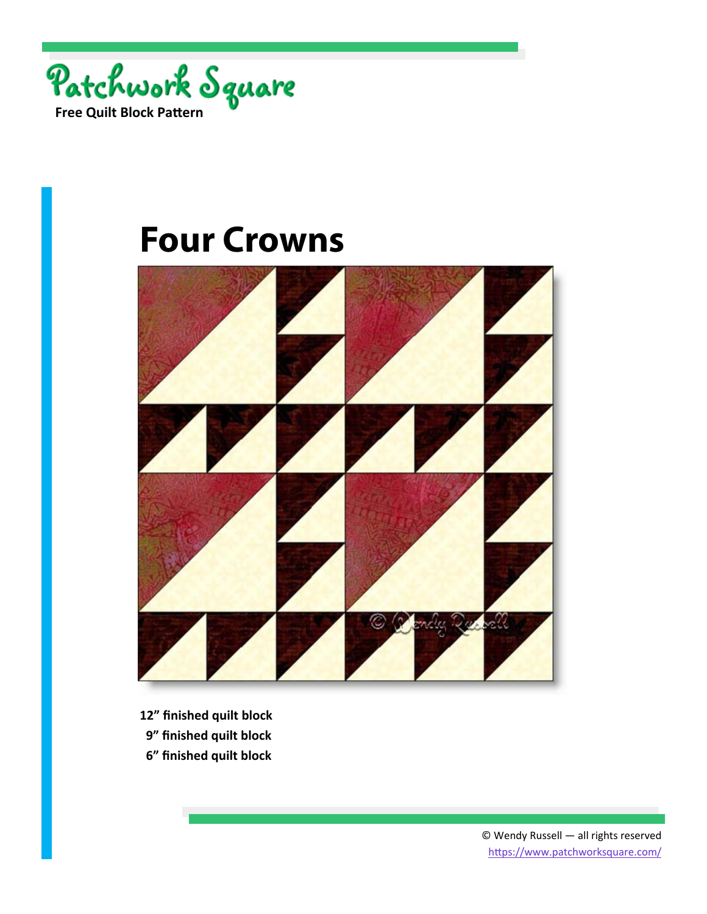



- **12" finished quilt block**
- **9" finished quilt block**
- **6" finished quilt block**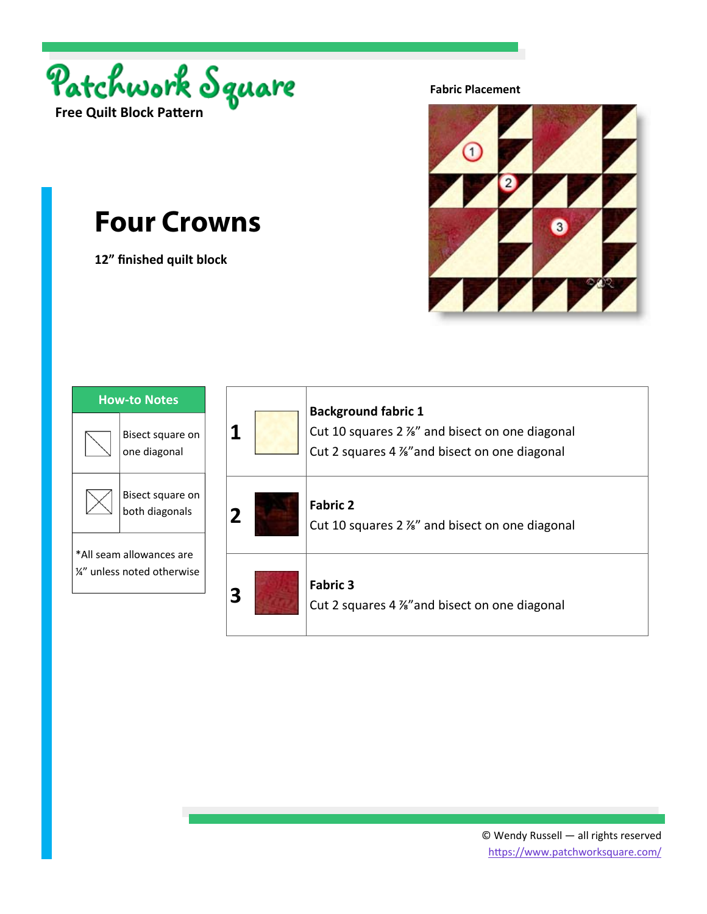

**12" finished quilt block** 

**Fabric Placement** 



| <b>How-to Notes</b>                                     |                                    |
|---------------------------------------------------------|------------------------------------|
|                                                         | Bisect square on<br>one diagonal   |
|                                                         | Bisect square on<br>both diagonals |
| *All seam allowances are<br>1⁄4" unless noted otherwise |                                    |

| 1 | <b>Background fabric 1</b><br>Cut 10 squares 2 %" and bisect on one diagonal<br>Cut 2 squares 4 %" and bisect on one diagonal |
|---|-------------------------------------------------------------------------------------------------------------------------------|
| 2 | <b>Fabric 2</b><br>Cut 10 squares 2 %" and bisect on one diagonal                                                             |
| 3 | <b>Fabric 3</b><br>Cut 2 squares 4 %" and bisect on one diagonal                                                              |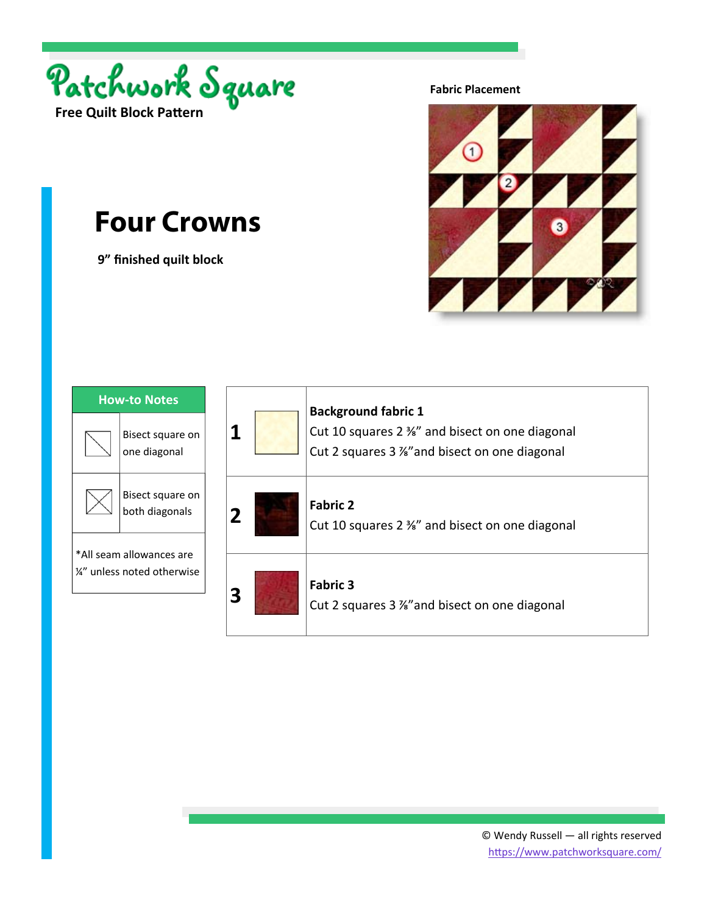

 **9" finished quilt block** 

**Fabric Placement** 



| <b>How-to Notes</b>                                     |                                    |
|---------------------------------------------------------|------------------------------------|
|                                                         | Bisect square on<br>one diagonal   |
|                                                         | Bisect square on<br>both diagonals |
| *All seam allowances are<br>1/4" unless noted otherwise |                                    |

| 1 | <b>Background fabric 1</b><br>Cut 10 squares 2 %" and bisect on one diagonal<br>Cut 2 squares 3 %" and bisect on one diagonal |
|---|-------------------------------------------------------------------------------------------------------------------------------|
| 2 | <b>Fabric 2</b><br>Cut 10 squares 2 %" and bisect on one diagonal                                                             |
| 3 | <b>Fabric 3</b><br>Cut 2 squares 3 %" and bisect on one diagonal                                                              |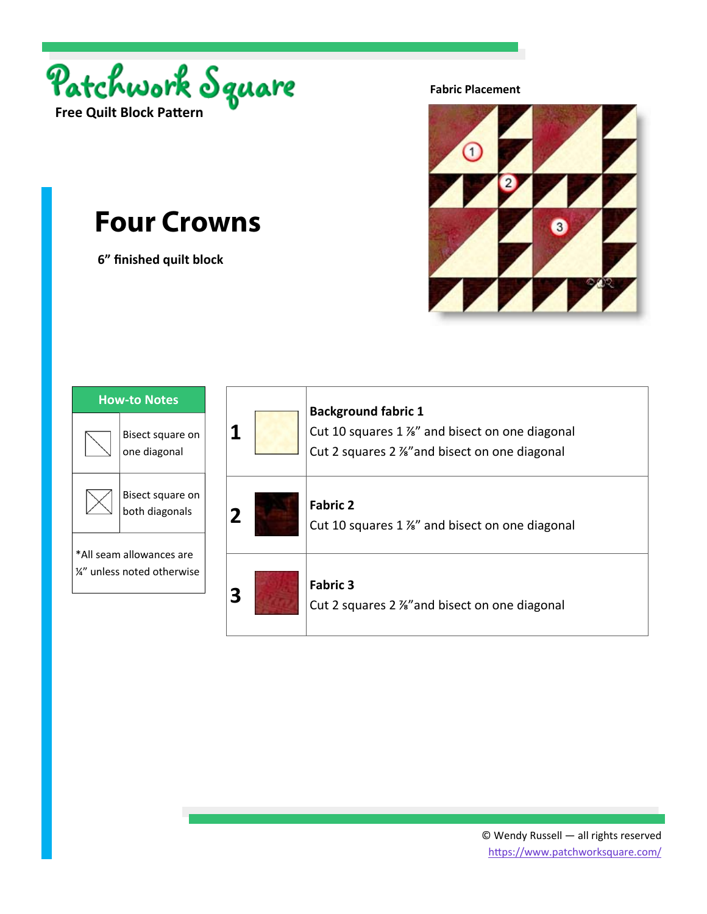

 **6" finished quilt block** 

**Fabric Placement** 



| <b>How-to Notes</b>                                     |                                    |  |
|---------------------------------------------------------|------------------------------------|--|
|                                                         | Bisect square on<br>one diagonal   |  |
|                                                         | Bisect square on<br>both diagonals |  |
| *All seam allowances are<br>1/4" unless noted otherwise |                                    |  |

| 1 | <b>Background fabric 1</b><br>Cut 10 squares 1 %" and bisect on one diagonal<br>Cut 2 squares 2 %" and bisect on one diagonal |
|---|-------------------------------------------------------------------------------------------------------------------------------|
| 2 | <b>Fabric 2</b><br>Cut 10 squares 1 %" and bisect on one diagonal                                                             |
| 3 | <b>Fabric 3</b><br>Cut 2 squares 2 %" and bisect on one diagonal                                                              |